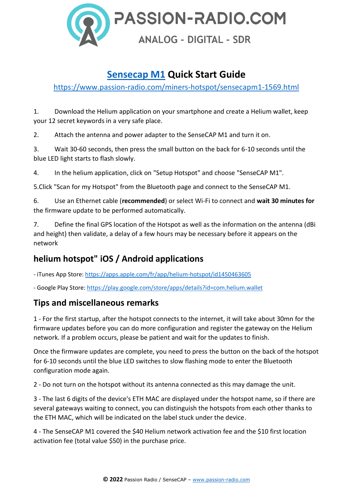

## **[Sensecap M1](https://www.passion-radio.com/miners-hotspot/sensecapm1-1569.html) Quick Start Guide**

<https://www.passion-radio.com/miners-hotspot/sensecapm1-1569.html>

1. Download the Helium application on your smartphone and create a Helium wallet, keep your 12 secret keywords in a very safe place.

2. Attach the antenna and power adapter to the SenseCAP M1 and turn it on.

3. Wait 30-60 seconds, then press the small button on the back for 6-10 seconds until the blue LED light starts to flash slowly.

4. In the helium application, click on "Setup Hotspot" and choose "SenseCAP M1".

5.Click "Scan for my Hotspot" from the Bluetooth page and connect to the SenseCAP M1.

6. Use an Ethernet cable (**recommended**) or select Wi-Fi to connect and **wait 30 minutes for**  the firmware update to be performed automatically.

7. Define the final GPS location of the Hotspot as well as the information on the antenna (dBi and height) then validate, a delay of a few hours may be necessary before it appears on the network

### **helium hotspot" iOS / Android applications**

- iTunes App Store:<https://apps.apple.com/fr/app/helium-hotspot/id1450463605>

- Google Play Store:<https://play.google.com/store/apps/details?id=com.helium.wallet>

### **Tips and miscellaneous remarks**

1 - For the first startup, after the hotspot connects to the internet, it will take about 30mn for the firmware updates before you can do more configuration and register the gateway on the Helium network. If a problem occurs, please be patient and wait for the updates to finish.

Once the firmware updates are complete, you need to press the button on the back of the hotspot for 6-10 seconds until the blue LED switches to slow flashing mode to enter the Bluetooth configuration mode again.

2 - Do not turn on the hotspot without its antenna connected as this may damage the unit.

3 - The last 6 digits of the device's ETH MAC are displayed under the hotspot name, so if there are several gateways waiting to connect, you can distinguish the hotspots from each other thanks to the ETH MAC, which will be indicated on the label stuck under the device.

4 - The SenseCAP M1 covered the \$40 Helium network activation fee and the \$10 first location activation fee (total value \$50) in the purchase price.